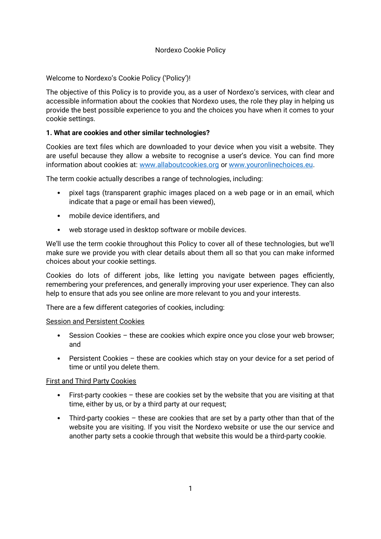# Nordexo Cookie Policy

Welcome to Nordexo's Cookie Policy ('Policy')!

The objective of this Policy is to provide you, as a user of Nordexo's services, with clear and accessible information about the cookies that Nordexo uses, the role they play in helping us provide the best possible experience to you and the choices you have when it comes to your cookie settings.

# **1. What are cookies and other similar technologies?**

Cookies are text files which are downloaded to your device when you visit a website. They are useful because they allow a website to recognise a user's device. You can find more information about cookies at: [www.allaboutcookies.org](http://www.allaboutcookies.org/) or [www.youronlinechoices.eu](https://www.youronlinechoices.eu/).

The term cookie actually describes a range of technologies, including:

- pixel tags (transparent graphic images placed on a web page or in an email, which indicate that a page or email has been viewed),
- mobile device identifiers, and
- web storage used in desktop software or mobile devices.

We'll use the term cookie throughout this Policy to cover all of these technologies, but we'll make sure we provide you with clear details about them all so that you can make informed choices about your cookie settings.

Cookies do lots of different jobs, like letting you navigate between pages efficiently, remembering your preferences, and generally improving your user experience. They can also help to ensure that ads you see online are more relevant to you and your interests.

There are a few different categories of cookies, including:

## Session and Persistent Cookies

- Session Cookies these are cookies which expire once you close your web browser; and
- Persistent Cookies these are cookies which stay on your device for a set period of time or until you delete them.

## First and Third Party Cookies

- First-party cookies these are cookies set by the website that you are visiting at that time, either by us, or by a third party at our request;
- Third-party cookies these are cookies that are set by a party other than that of the website you are visiting. If you visit the Nordexo website or use the our service and another party sets a cookie through that website this would be a third-party cookie.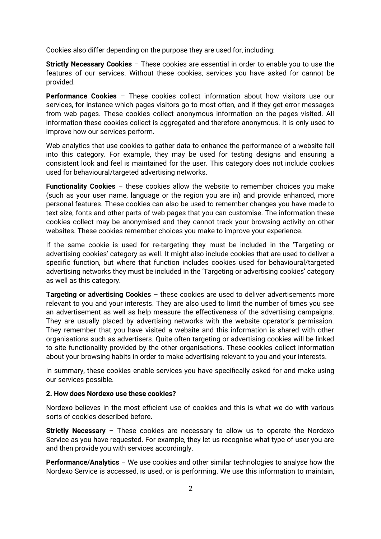Cookies also differ depending on the purpose they are used for, including:

**Strictly Necessary Cookies** – These cookies are essential in order to enable you to use the features of our services. Without these cookies, services you have asked for cannot be provided.

**Performance Cookies** – These cookies collect information about how visitors use our services, for instance which pages visitors go to most often, and if they get error messages from web pages. These cookies collect anonymous information on the pages visited. All information these cookies collect is aggregated and therefore anonymous. It is only used to improve how our services perform.

Web analytics that use cookies to gather data to enhance the performance of a website fall into this category. For example, they may be used for testing designs and ensuring a consistent look and feel is maintained for the user. This category does not include cookies used for behavioural/targeted advertising networks.

**Functionality Cookies** – these cookies allow the website to remember choices you make (such as your user name, language or the region you are in) and provide enhanced, more personal features. These cookies can also be used to remember changes you have made to text size, fonts and other parts of web pages that you can customise. The information these cookies collect may be anonymised and they cannot track your browsing activity on other websites. These cookies remember choices you make to improve your experience.

If the same cookie is used for re-targeting they must be included in the 'Targeting or advertising cookies' category as well. It might also include cookies that are used to deliver a specific function, but where that function includes cookies used for behavioural/targeted advertising networks they must be included in the 'Targeting or advertising cookies' category as well as this category.

**Targeting or advertising Cookies** – these cookies are used to deliver advertisements more relevant to you and your interests. They are also used to limit the number of times you see an advertisement as well as help measure the effectiveness of the advertising campaigns. They are usually placed by advertising networks with the website operator's permission. They remember that you have visited a website and this information is shared with other organisations such as advertisers. Quite often targeting or advertising cookies will be linked to site functionality provided by the other organisations. These cookies collect information about your browsing habits in order to make advertising relevant to you and your interests.

In summary, these cookies enable services you have specifically asked for and make using our services possible.

## **2. How does Nordexo use these cookies?**

Nordexo believes in the most efficient use of cookies and this is what we do with various sorts of cookies described before.

**Strictly Necessary** – These cookies are necessary to allow us to operate the Nordexo Service as you have requested. For example, they let us recognise what type of user you are and then provide you with services accordingly.

**Performance/Analytics** – We use cookies and other similar technologies to analyse how the Nordexo Service is accessed, is used, or is performing. We use this information to maintain,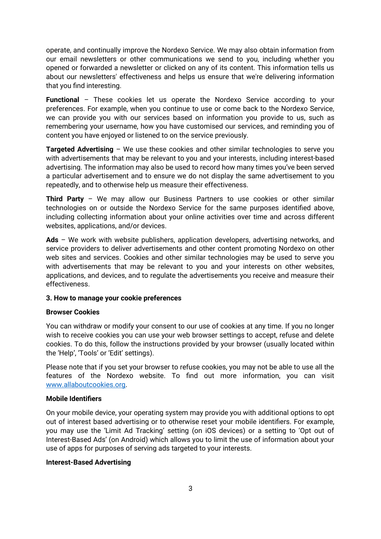operate, and continually improve the Nordexo Service. We may also obtain information from our email newsletters or other communications we send to you, including whether you opened or forwarded a newsletter or clicked on any of its content. This information tells us about our newsletters' effectiveness and helps us ensure that we're delivering information that you find interesting.

**Functional** – These cookies let us operate the Nordexo Service according to your preferences. For example, when you continue to use or come back to the Nordexo Service, we can provide you with our services based on information you provide to us, such as remembering your username, how you have customised our services, and reminding you of content you have enjoyed or listened to on the service previously.

**Targeted Advertising** – We use these cookies and other similar technologies to serve you with advertisements that may be relevant to you and your interests, including interest-based advertising. The information may also be used to record how many times you've been served a particular advertisement and to ensure we do not display the same advertisement to you repeatedly, and to otherwise help us measure their effectiveness.

**Third Party** – We may allow our Business Partners to use cookies or other similar technologies on or outside the Nordexo Service for the same purposes identified above, including collecting information about your online activities over time and across different websites, applications, and/or devices.

**Ads** – We work with website publishers, application developers, advertising networks, and service providers to deliver advertisements and other content promoting Nordexo on other web sites and services. Cookies and other similar technologies may be used to serve you with advertisements that may be relevant to you and your interests on other websites, applications, and devices, and to regulate the advertisements you receive and measure their effectiveness.

## **3. How to manage your cookie preferences**

#### **Browser Cookies**

You can withdraw or modify your consent to our use of cookies at any time. If you no longer wish to receive cookies you can use your web browser settings to accept, refuse and delete cookies. To do this, follow the instructions provided by your browser (usually located within the 'Help', 'Tools' or 'Edit' settings).

Please note that if you set your browser to refuse cookies, you may not be able to use all the features of the Nordexo website. To find out more information, you can visit [www.allaboutcookies.org](http://www.allaboutcookies.org/).

#### **Mobile Identifiers**

On your mobile device, your operating system may provide you with additional options to opt out of interest based advertising or to otherwise reset your mobile identifiers. For example, you may use the 'Limit Ad Tracking' setting (on iOS devices) or a setting to 'Opt out of Interest-Based Ads' (on Android) which allows you to limit the use of information about your use of apps for purposes of serving ads targeted to your interests.

## **Interest-Based Advertising**